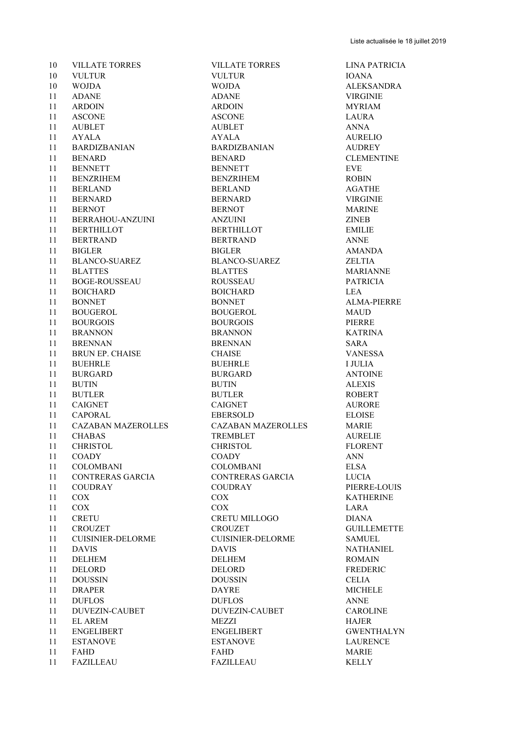| 10     | <b>VILLATE TORRES</b>                           | <b>VILLATE TORRES</b>    | <b>LINA PAT</b> |
|--------|-------------------------------------------------|--------------------------|-----------------|
| 10     | <b>VULTUR</b>                                   | <b>VULTUR</b>            | <b>IOANA</b>    |
| 10     | <b>WOJDA</b>                                    | <b>WOJDA</b>             | <b>ALEKSAN</b>  |
| 11     | <b>ADANE</b>                                    | <b>ADANE</b>             | <b>VIRGINIE</b> |
| 11     | <b>ARDOIN</b>                                   | <b>ARDOIN</b>            | MYRIAM          |
| 11     | <b>ASCONE</b>                                   | <b>ASCONE</b>            | LAURA           |
| 11     | <b>AUBLET</b>                                   | <b>AUBLET</b>            | <b>ANNA</b>     |
| 11     | <b>AYALA</b>                                    | <b>AYALA</b>             | <b>AURELIO</b>  |
| 11     | BARDIZBANIAN                                    | BARDIZBANIAN             | AUDREY          |
| 11     | <b>BENARD</b>                                   | <b>BENARD</b>            | <b>CLEMENT</b>  |
| 11     | <b>BENNETT</b>                                  | <b>BENNETT</b>           | <b>EVE</b>      |
| 11     | BENZRIHEM                                       | <b>BENZRIHEM</b>         | <b>ROBIN</b>    |
| 11     | <b>BERLAND</b>                                  | <b>BERLAND</b>           | AGATHE          |
| 11     | <b>BERNARD</b>                                  | <b>BERNARD</b>           | <b>VIRGINIE</b> |
| 11     | <b>BERNOT</b>                                   | <b>BERNOT</b>            | MARINE          |
| 11     | BERRAHOU-ANZUINI                                | <b>ANZUINI</b>           | <b>ZINEB</b>    |
|        |                                                 |                          |                 |
| 11     | <b>BERTHILLOT</b>                               | <b>BERTHILLOT</b>        | <b>EMILIE</b>   |
| 11     | <b>BERTRAND</b>                                 | <b>BERTRAND</b>          | <b>ANNE</b>     |
| 11     | <b>BIGLER</b>                                   | <b>BIGLER</b>            | <b>AMANDA</b>   |
| 11     | BLANCO-SUAREZ                                   | <b>BLANCO-SUAREZ</b>     | <b>ZELTIA</b>   |
| 11     | <b>BLATTES</b>                                  | <b>BLATTES</b>           | <b>MARIANN</b>  |
| 11     | <b>BOGE-ROUSSEAU</b>                            | <b>ROUSSEAU</b>          | <b>PATRICIA</b> |
| 11     | <b>BOICHARD</b>                                 | <b>BOICHARD</b>          | <b>LEA</b>      |
| 11     | <b>BONNET</b>                                   | <b>BONNET</b>            | <b>ALMA-PIE</b> |
| 11     | <b>BOUGEROL</b>                                 | <b>BOUGEROL</b>          | MAUD            |
| 11     | <b>BOURGOIS</b>                                 | <b>BOURGOIS</b>          | PIERRE          |
| 11     | <b>BRANNON</b>                                  | <b>BRANNON</b>           | <b>KATRINA</b>  |
| 11     | <b>BRENNAN</b>                                  | <b>BRENNAN</b>           | <b>SARA</b>     |
| 11     |                                                 | <b>CHAISE</b>            | <b>VANESSA</b>  |
| 11     |                                                 | <b>BUEHRLE</b>           | <b>I JULIA</b>  |
| 11     | BRUN EP. CHAISE<br>BUEHRLE<br>BURGARD<br>BUITIN | <b>BURGARD</b>           | <b>ANTOINE</b>  |
| 11     | <b>BUTIN</b>                                    | <b>BUTIN</b>             | <b>ALEXIS</b>   |
| 11     | <b>BUTLER</b>                                   | <b>BUTLER</b>            | <b>ROBERT</b>   |
|        |                                                 |                          |                 |
| 11     | CAIGNET                                         | <b>CAIGNET</b>           | <b>AURORE</b>   |
| 11     | CAPORAL                                         | EBERSOLD                 | <b>ELOISE</b>   |
| 11     | CAZABAN MAZEROLLES                              | CAZABAN MAZEROLLES       | MARIE           |
| 11     | <b>CHABAS</b>                                   | <b>TREMBLET</b>          | <b>AURELIE</b>  |
| 11     | CHRISTOL                                        | CHRISTOL                 | <b>FLORENT</b>  |
| 11     | COADY                                           | <b>COADY</b>             | ANN             |
| 11     | <b>COLOMBANI</b>                                | <b>COLOMBANI</b>         | ELSA            |
| 11     | CONTRERAS GARCIA                                | CONTRERAS GARCIA         | LUCIA           |
| 11     | <b>COUDRAY</b>                                  | <b>COUDRAY</b>           | PIERRE-L        |
| 11     | COX                                             | COX                      | <b>KATHERI</b>  |
| 11     | COX                                             | COX                      | LARA            |
| 11     | <b>CRETU</b>                                    | CRETU MILLOGO            | <b>DIANA</b>    |
| $11\,$ | <b>CROUZET</b>                                  | <b>CROUZET</b>           | <b>GUILLEM</b>  |
| 11     | <b>CUISINIER-DELORME</b>                        | <b>CUISINIER-DELORME</b> | SAMUEL          |
| 11     | <b>DAVIS</b>                                    | <b>DAVIS</b>             | <b>NATHANI</b>  |
| 11     | <b>DELHEM</b>                                   | <b>DELHEM</b>            | ROMAIN          |
| 11     | DELORD                                          | DELORD                   | <b>FREDERIC</b> |
| 11     |                                                 |                          |                 |
|        | <b>DOUSSIN</b>                                  | <b>DOUSSIN</b>           | <b>CELIA</b>    |
| 11     | <b>DRAPER</b>                                   | <b>DAYRE</b>             | <b>MICHELE</b>  |
| 11     | <b>DUFLOS</b>                                   | <b>DUFLOS</b>            | <b>ANNE</b>     |
| 11     | DUVEZIN-CAUBET                                  | DUVEZIN-CAUBET           | <b>CAROLIN</b>  |
| 11     | <b>EL AREM</b>                                  | MEZZI                    | <b>HAJER</b>    |
| 11     | <b>ENGELIBERT</b>                               | <b>ENGELIBERT</b>        | <b>GWENTH</b>   |
| 11     | <b>ESTANOVE</b>                                 | <b>ESTANOVE</b>          | <b>LAURENC</b>  |
| 11     | <b>FAHD</b>                                     | <b>FAHD</b>              | <b>MARIE</b>    |
|        | $11$ FAZILLEALL                                 | <b>EAZILLEALL</b>        | KELL V          |

 WOJDA WOJDA ALEKSANDRA BARDIZBANIAN BARDIZBANIAN AUDREY BENARD BENARD CLEMENTINE **BENNETT** EVE BENZRIHEM BENZRIHEM ROBIN BERNARD BERNARD VIRGINIE BERTHILLOT BERTHILLOT EMILIE BERTRAND BERTRAND ANNE BLANCO-SUAREZ BLANCO-SUAREZ ZELTIA BLATTES BLATTES MARIANNE BOGE-ROUSSEAU ROUSSEAU PATRICIA BOICHARD BOICHARD LEA BONNET BONNET ALMA-PIERRE 11 BOUGEROL MAUD BOURGOIS BOURGOIS PIERRE BRANNON BRANNON KATRINA BRENNAN BRENNAN SARA BURGARD BURGARD ANTOINE EBERSOLD ELOISE CAZABAN MAZEROLLES CAZABAN MAZEROLLES MARIE TREMBLET AURELIE CHRISTOL CHRISTOL FLORENT COLOMBANI COLOMBANI ELSA CONTRERAS GARCIA CONTRERAS GARCIA LUCIA COUDRAY COUDRAY PIERRE-LOUIS COX COX KATHERINE CRETU MILLOGO DIANA CROUZET GUILLEMETTE CUISINIER-DELORME CUISINIER-DELORME SAMUEL DAVIS DAVIS NATHANIEL DELHEM DELHEM ROMAIN DELORD DELORD FREDERIC DOUSSIN DOUSSIN CELIA DUVEZIN-CAUBET DUVEZIN-CAUBET CAROLINE ENGELIBERT ENGELIBERT GWENTHALYN ESTANOVE LAURENCE FAZILLEAU FAZILLEAU KELLY

VILLATE TORRES VILLATE TORRES LINA PATRICIA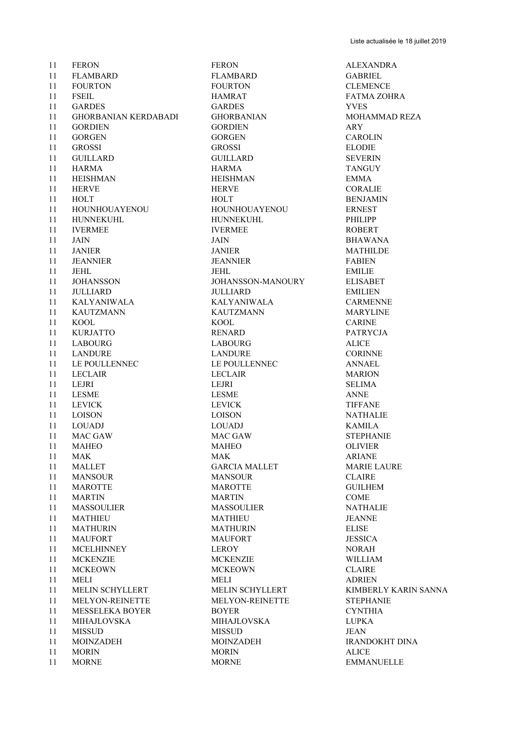11 FERON FERON FERON ALEXANDRA FLAMBARD FLAMBARD GABRIEL FOURTON FOURTON CLEMENCE FSEIL HAMRAT FATMA ZOHRA GARDES GARDES YVES GHORBANIAN KERDABADI GHORBANIAN MOHAMMAD REZA GORDIEN GORDIEN ARY 11 GORGEN GORGEN CAROLIN GROSSI GROSSI ELODIE GUILLARD GUILLARD SEVERIN HARMA HARMA TANGUY HEISHMAN HEISHMAN EMMA 11 HERVE CORALIE 11 HOLT BENJAMIN HOUNHOUAYENOU HOUNHOUAYENOU ERNEST HUNNEKUHL HUNNEKUHL PHILIPP 11 IVERMEE IVERMEE ROBERT JAIN JAIN BHAWANA JANIER JANIER MATHILDE JEANNIER JEANNIER FABIEN 11 JEHL EMILIE JOHANSSON JOHANSSON-MANOURY ELISABET JULLIARD JULLIARD EMILIEN KALYANIWALA KALYANIWALA CARMENNE KAUTZMANN KAUTZMANN MARYLINE 11 KOOL CARINE KURJATTO RENARD PATRYCJA LABOURG LABOURG ALICE LANDURE LANDURE CORINNE 11 LE POULLENNEC LE POULLENNEC ANNAEL LECLAIR LECLAIR MARION 11 LEJRI SELIMA LESME LESME ANNE 11 LEVICK LEVICK TIFFANE LOISON LOISON NATHALIE LOUADJ LOUADJ KAMILA MAC GAW MAC GAW STEPHANIE MAHEO MAHEO OLIVIER 11 MAK ARIANE 11 MALLET GARCIA MALLET MARIE LAURE 11 MANSOUR MANSOUR CLAIRE 11 MAROTTE MAROTTE MAROTTE GUILHEM MARTIN MARTIN COME MASSOULIER MASSOULIER NATHALIE MATHIEU MATHIEU JEANNE MATHURIN MATHURIN ELISE 11 MAUFORT MAUFORT MAURORT JESSICA MCELHINNEY LEROY NORAH 11 MCKENZIE MCKENZIE MCKENZIE WILLIAM 11 MCKEOWN MCKEOWN CLAIRE 11 MELI ADRIEN MELIN SCHYLLERT MELIN SCHYLLERT KIMBERLY KARIN SANNA MELYON-REINETTE MELYON-REINETTE STEPHANIE MESSELEKA BOYER BOYER CYNTHIA MIHAJLOVSKA MIHAJLOVSKA LUPKA MISSUD MISSUD JEAN MOINZADEH MOINZADEH IRANDOKHT DINA 11 MORIN MORIN MORIN ALICE

11 MORNE MORNE MORNE EMMANUELLE